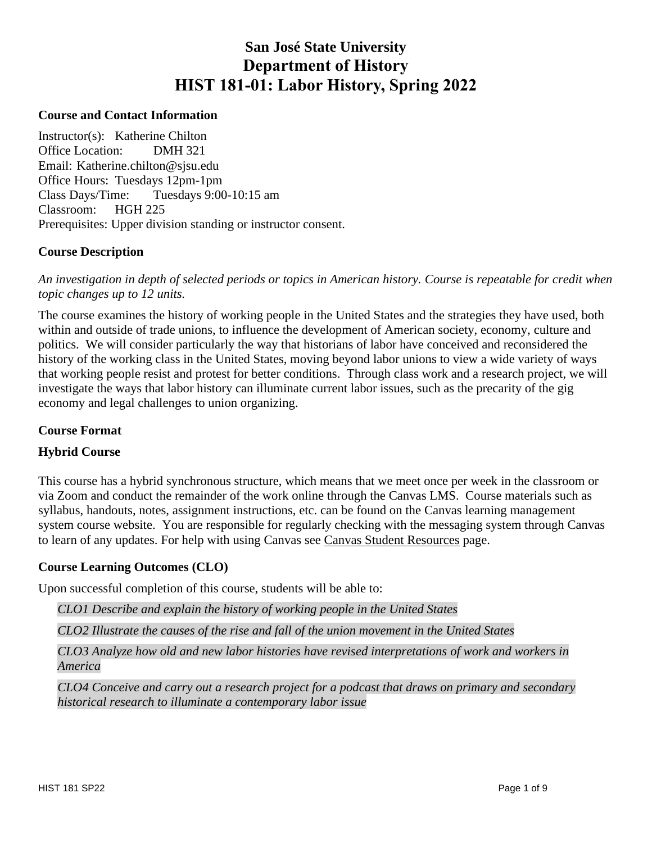## **San José State University Department of History HIST 181-01: Labor History, Spring 2022**

#### **Course and Contact Information**

Instructor(s): Katherine Chilton Office Location: DMH 321 Email: Katherine.chilton@sjsu.edu Office Hours: Tuesdays 12pm-1pm Class Days/Time: Tuesdays 9:00-10:15 am Classroom: HGH 225 Prerequisites: Upper division standing or instructor consent.

#### **Course Description**

*An investigation in depth of selected periods or topics in American history. Course is repeatable for credit when topic changes up to 12 units.*

The course examines the history of working people in the United States and the strategies they have used, both within and outside of trade unions, to influence the development of American society, economy, culture and politics. We will consider particularly the way that historians of labor have conceived and reconsidered the history of the working class in the United States, moving beyond labor unions to view a wide variety of ways that working people resist and protest for better conditions. Through class work and a research project, we will investigate the ways that labor history can illuminate current labor issues, such as the precarity of the gig economy and legal challenges to union organizing.

## **Course Format**

#### **Hybrid Course**

This course has a hybrid synchronous structure, which means that we meet once per week in the classroom or via Zoom and conduct the remainder of the work online through the Canvas LMS. Course materials such as syllabus, handouts, notes, assignment instructions, etc. can be found on the Canvas learning management system course website. You are responsible for regularly checking with the messaging system through Canvas to learn of any updates. For help with using Canvas see [Canvas Student Resources](https://www.sjsu.edu/ecampus/software-tools/teaching-tools/canvas/student-resources/index.php) page.

#### **Course Learning Outcomes (CLO)**

Upon successful completion of this course, students will be able to:

*CLO1 Describe and explain the history of working people in the United States* 

*CLO2 Illustrate the causes of the rise and fall of the union movement in the United States*

*CLO3 Analyze how old and new labor histories have revised interpretations of work and workers in America*

*CLO4 Conceive and carry out a research project for a podcast that draws on primary and secondary historical research to illuminate a contemporary labor issue*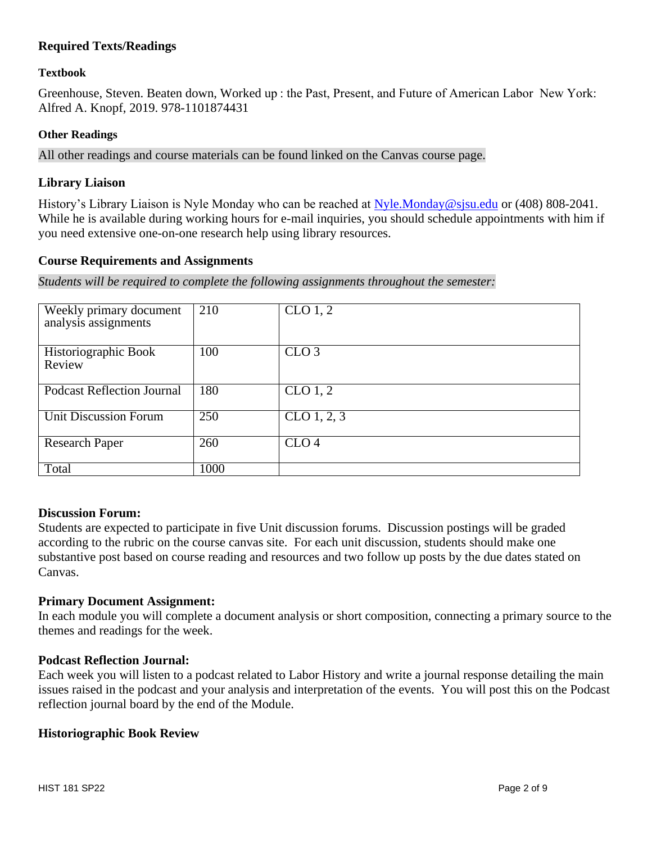## **Required Texts/Readings**

#### **Textbook**

Greenhouse, Steven. Beaten down, Worked up : the Past, Present, and Future of American Labor New York: Alfred A. Knopf, 2019. 978-1101874431

#### **Other Readings**

All other readings and course materials can be found linked on the Canvas course page.

### **Library Liaison**

History's Library Liaison is Nyle Monday who can be reached at [Nyle.Monday@sjsu.edu](mailto:Nyle.Monday@sjsu.edu) or (408) 808-2041. While he is available during working hours for e-mail inquiries, you should schedule appointments with him if you need extensive one-on-one research help using library resources.

#### **Course Requirements and Assignments**

*Students will be required to complete the following assignments throughout the semester:*

| Weekly primary document<br>analysis assignments | 210  | CLO <sub>1</sub> , 2    |
|-------------------------------------------------|------|-------------------------|
| Historiographic Book<br>Review                  | 100  | CLO <sub>3</sub>        |
| <b>Podcast Reflection Journal</b>               | 180  | CLO <sub>1</sub> , 2    |
| <b>Unit Discussion Forum</b>                    | 250  | CLO <sub>1</sub> , 2, 3 |
| <b>Research Paper</b>                           | 260  | CLO <sub>4</sub>        |
| Total                                           | 1000 |                         |

#### **Discussion Forum:**

Students are expected to participate in five Unit discussion forums. Discussion postings will be graded according to the rubric on the course canvas site. For each unit discussion, students should make one substantive post based on course reading and resources and two follow up posts by the due dates stated on Canvas.

#### **Primary Document Assignment:**

In each module you will complete a document analysis or short composition, connecting a primary source to the themes and readings for the week.

#### **Podcast Reflection Journal:**

Each week you will listen to a podcast related to Labor History and write a journal response detailing the main issues raised in the podcast and your analysis and interpretation of the events. You will post this on the Podcast reflection journal board by the end of the Module.

#### **Historiographic Book Review**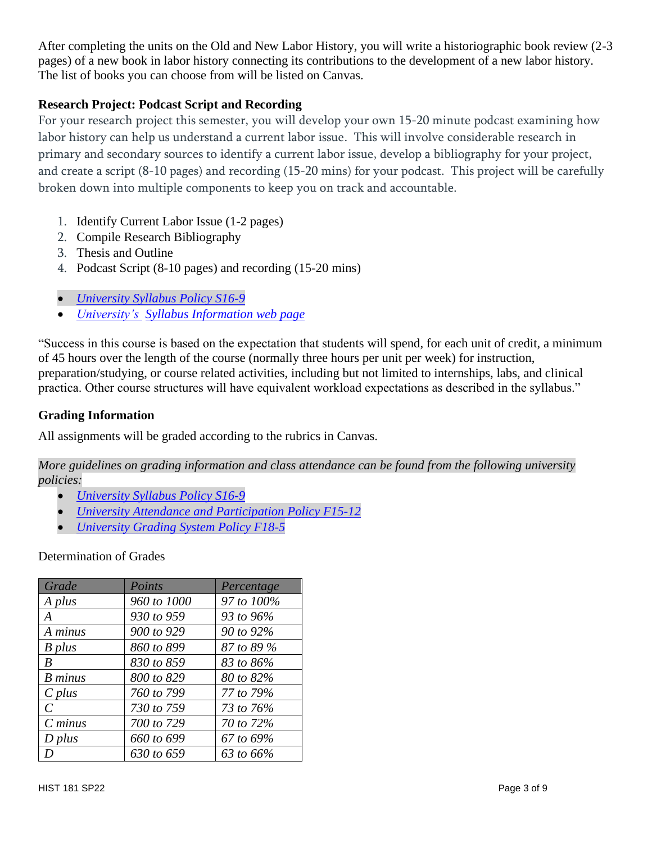After completing the units on the Old and New Labor History, you will write a historiographic book review (2-3 pages) of a new book in labor history connecting its contributions to the development of a new labor history. The list of books you can choose from will be listed on Canvas.

## **Research Project: Podcast Script and Recording**

For your research project this semester, you will develop your own 15-20 minute podcast examining how labor history can help us understand a current labor issue. This will involve considerable research in primary and secondary sources to identify a current labor issue, develop a bibliography for your project, and create a script (8-10 pages) and recording (15-20 mins) for your podcast. This project will be carefully broken down into multiple components to keep you on track and accountable.

- 1. Identify Current Labor Issue (1-2 pages)
- 2. Compile Research Bibliography
- 3. Thesis and Outline
- 4. Podcast Script (8-10 pages) and recording (15-20 mins)
- *[University Syllabus Policy S16-9](http://www.sjsu.edu/senate/docs/S16-9.pdf)*
- *[University's](https://www.sjsu.edu/curriculum/courses/syllabus-info.php) [Syllabus Information](https://www.sjsu.edu/curriculum/courses/syllabus-info.php) web page*

"Success in this course is based on the expectation that students will spend, for each unit of credit, a minimum of 45 hours over the length of the course (normally three hours per unit per week) for instruction, preparation/studying, or course related activities, including but not limited to internships, labs, and clinical practica. Other course structures will have equivalent workload expectations as described in the syllabus."

## **Grading Information**

All assignments will be graded according to the rubrics in Canvas.

*More guidelines on grading information and class attendance can be found from the following university policies:*

- *[University Syllabus Policy S16-9](http://www.sjsu.edu/senate/docs/S16-9.pdf)*
- *[University Attendance and Participation Policy F15-12](https://www.sjsu.edu/senate/docs/F15-12.pdf)*
- *[University Grading System Policy F18-5](http://www.sjsu.edu/senate/docs/F18-5.pdf)*

## Determination of Grades

| Grade          | Points      | Percentage |
|----------------|-------------|------------|
| A plus         | 960 to 1000 | 97 to 100% |
| A              | 930 to 959  | 93 to 96%  |
| A minus        | 900 to 929  | 90 to 92%  |
| B plus         | 860 to 899  | 87 to 89 % |
| B              | 830 to 859  | 83 to 86%  |
| <b>B</b> minus | 800 to 829  | 80 to 82%  |
| $C$ plus       | 760 to 799  | 77 to 79%  |
| $\mathcal{C}$  | 730 to 759  | 73 to 76%  |
| $C$ minus      | 700 to 729  | 70 to 72%  |
| $D$ plus       | 660 to 699  | 67 to 69%  |
| D              | 630 to 659  | 63 to 66%  |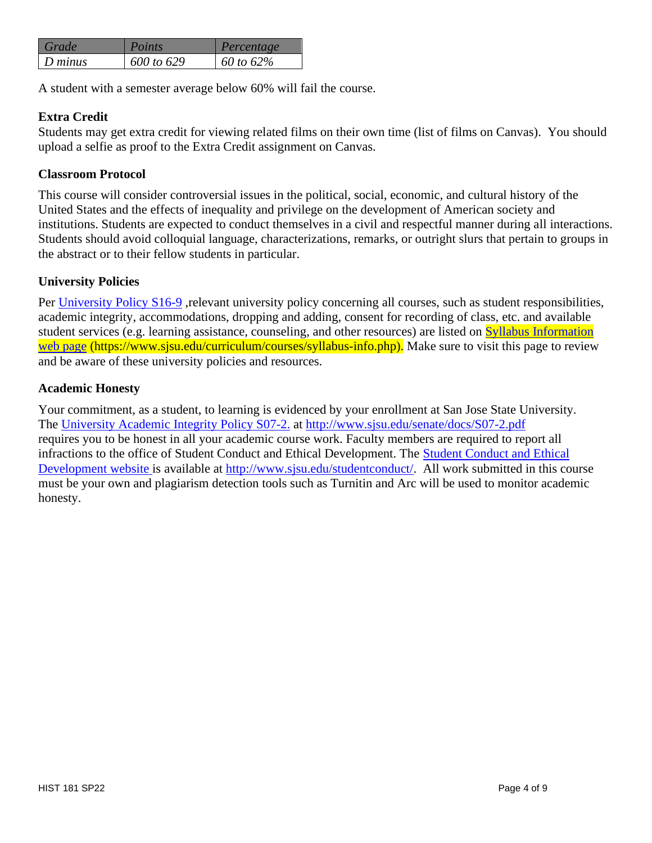| Grade          | Points     | Percentage |
|----------------|------------|------------|
| $\mid$ D minus | 600 to 629 | 60 to 62%  |

A student with a semester average below 60% will fail the course.

## **Extra Credit**

Students may get extra credit for viewing related films on their own time (list of films on Canvas). You should upload a selfie as proof to the Extra Credit assignment on Canvas.

## **Classroom Protocol**

This course will consider controversial issues in the political, social, economic, and cultural history of the United States and the effects of inequality and privilege on the development of American society and institutions. Students are expected to conduct themselves in a civil and respectful manner during all interactions. Students should avoid colloquial language, characterizations, remarks, or outright slurs that pertain to groups in the abstract or to their fellow students in particular.

## **University Policies**

Per [University Policy S16-9](http://www.sjsu.edu/senate/docs/S16-9.pdf) , relevant university policy concerning all courses, such as student responsibilities, academic integrity, accommodations, dropping and adding, consent for recording of class, etc. and available student services (e.g. learning assistance, counseling, and other resources) are listed on **Syllabus Information** [web page](https://www.sjsu.edu/curriculum/courses/syllabus-info.php) (https://www.sjsu.edu/curriculum/courses/syllabus-info.php). Make sure to visit this page to review and be aware of these university policies and resources.

## **Academic Honesty**

Your commitment, as a student, to learning is evidenced by your enrollment at San Jose State University. The [University Academic Integrity Policy S07-2.](https://d.docs.live.net/acaf7a21f33d12d1/Documents/SJSU/170S/Syllabi/University%20Academic%20Integrity%20Policy%20S07-2.) at<http://www.sjsu.edu/senate/docs/S07-2.pdf> requires you to be honest in all your academic course work. Faculty members are required to report all infractions to the office of Student Conduct and Ethical Development. The [Student Conduct and Ethical](https://d.docs.live.net/acaf7a21f33d12d1/Documents/SJSU/170S/Syllabi/Student%20Conduct%20and%20Ethical%20Development%20website )  [Development website](https://d.docs.live.net/acaf7a21f33d12d1/Documents/SJSU/170S/Syllabi/Student%20Conduct%20and%20Ethical%20Development%20website ) is available at [http://www.sjsu.edu/studentconduct/.](http://www.sjsu.edu/studentconduct/) All work submitted in this course must be your own and plagiarism detection tools such as Turnitin and Arc will be used to monitor academic honesty.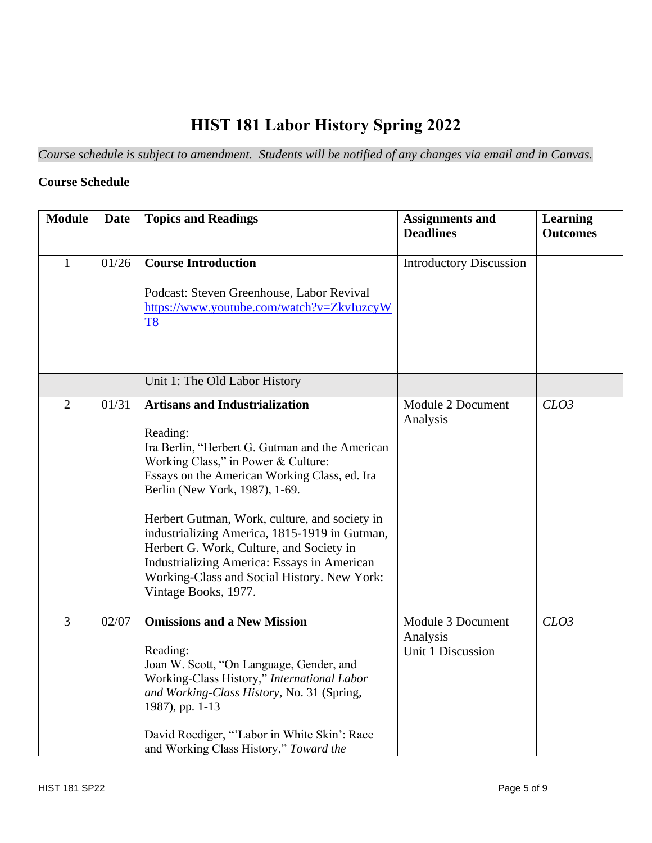# **HIST 181 Labor History Spring 2022**

*Course schedule is subject to amendment. Students will be notified of any changes via email and in Canvas.*

#### **Course Schedule**

| <b>Module</b>  | <b>Date</b> | <b>Topics and Readings</b>                                                                                                                                                                                                                                                                                                                                                                                                                                                                         | <b>Assignments and</b><br><b>Deadlines</b>         | Learning<br><b>Outcomes</b> |
|----------------|-------------|----------------------------------------------------------------------------------------------------------------------------------------------------------------------------------------------------------------------------------------------------------------------------------------------------------------------------------------------------------------------------------------------------------------------------------------------------------------------------------------------------|----------------------------------------------------|-----------------------------|
| $\mathbf{1}$   | 01/26       | <b>Course Introduction</b><br>Podcast: Steven Greenhouse, Labor Revival<br>https://www.youtube.com/watch?v=ZkvIuzcyW<br><b>T8</b>                                                                                                                                                                                                                                                                                                                                                                  | <b>Introductory Discussion</b>                     |                             |
|                |             | Unit 1: The Old Labor History                                                                                                                                                                                                                                                                                                                                                                                                                                                                      |                                                    |                             |
| $\overline{2}$ | 01/31       | <b>Artisans and Industrialization</b><br>Reading:<br>Ira Berlin, "Herbert G. Gutman and the American<br>Working Class," in Power & Culture:<br>Essays on the American Working Class, ed. Ira<br>Berlin (New York, 1987), 1-69.<br>Herbert Gutman, Work, culture, and society in<br>industrializing America, 1815-1919 in Gutman,<br>Herbert G. Work, Culture, and Society in<br>Industrializing America: Essays in American<br>Working-Class and Social History. New York:<br>Vintage Books, 1977. | Module 2 Document<br>Analysis                      | CLO3                        |
| 3              | 02/07       | <b>Omissions and a New Mission</b><br>Reading:<br>Joan W. Scott, "On Language, Gender, and<br>Working-Class History," International Labor<br>and Working-Class History, No. 31 (Spring,<br>1987), pp. 1-13<br>David Roediger, "'Labor in White Skin': Race<br>and Working Class History," Toward the                                                                                                                                                                                               | Module 3 Document<br>Analysis<br>Unit 1 Discussion | CLO3                        |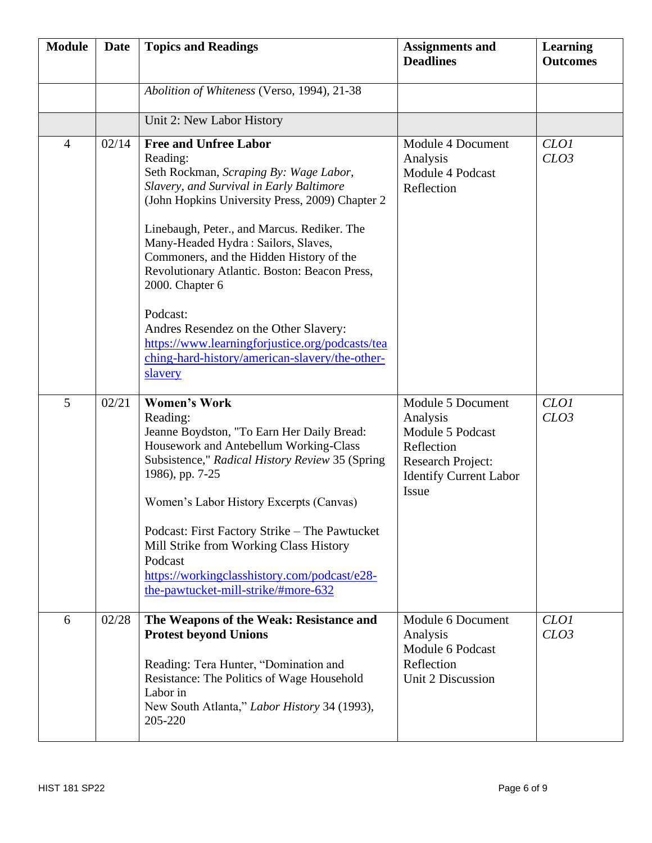| <b>Module</b>  | <b>Date</b> | <b>Topics and Readings</b>                                                                                                                                                                                                                                                                                                                                                                                                            | <b>Assignments and</b><br><b>Deadlines</b>                                                                                     | <b>Learning</b><br><b>Outcomes</b> |
|----------------|-------------|---------------------------------------------------------------------------------------------------------------------------------------------------------------------------------------------------------------------------------------------------------------------------------------------------------------------------------------------------------------------------------------------------------------------------------------|--------------------------------------------------------------------------------------------------------------------------------|------------------------------------|
|                |             | Abolition of Whiteness (Verso, 1994), 21-38                                                                                                                                                                                                                                                                                                                                                                                           |                                                                                                                                |                                    |
|                |             | Unit 2: New Labor History                                                                                                                                                                                                                                                                                                                                                                                                             |                                                                                                                                |                                    |
| $\overline{4}$ | 02/14       | <b>Free and Unfree Labor</b><br>Reading:<br>Seth Rockman, Scraping By: Wage Labor,<br>Slavery, and Survival in Early Baltimore<br>(John Hopkins University Press, 2009) Chapter 2<br>Linebaugh, Peter., and Marcus. Rediker. The<br>Many-Headed Hydra: Sailors, Slaves,<br>Commoners, and the Hidden History of the<br>Revolutionary Atlantic. Boston: Beacon Press,<br>2000. Chapter 6<br>Podcast:                                   | Module 4 Document<br>Analysis<br>Module 4 Podcast<br>Reflection                                                                | CLO1<br>CLO3                       |
|                |             | Andres Resendez on the Other Slavery:<br>https://www.learningforjustice.org/podcasts/tea<br>ching-hard-history/american-slavery/the-other-<br>slavery                                                                                                                                                                                                                                                                                 |                                                                                                                                |                                    |
| 5              | 02/21       | <b>Women's Work</b><br>Reading:<br>Jeanne Boydston, "To Earn Her Daily Bread:<br>Housework and Antebellum Working-Class<br>Subsistence," Radical History Review 35 (Spring<br>1986), pp. 7-25<br>Women's Labor History Excerpts (Canvas)<br>Podcast: First Factory Strike - The Pawtucket<br>Mill Strike from Working Class History<br>Podcast<br>https://workingclasshistory.com/podcast/e28-<br>the-pawtucket-mill-strike/#more-632 | Module 5 Document<br>Analysis<br>Module 5 Podcast<br>Reflection<br>Research Project:<br><b>Identify Current Labor</b><br>Issue | CLO1<br>CLO3                       |
| 6              | 02/28       | The Weapons of the Weak: Resistance and<br><b>Protest beyond Unions</b><br>Reading: Tera Hunter, "Domination and<br>Resistance: The Politics of Wage Household<br>Labor in<br>New South Atlanta," Labor History 34 (1993),<br>205-220                                                                                                                                                                                                 | Module 6 Document<br>Analysis<br>Module 6 Podcast<br>Reflection<br>Unit 2 Discussion                                           | CLO <sub>1</sub><br>CLO3           |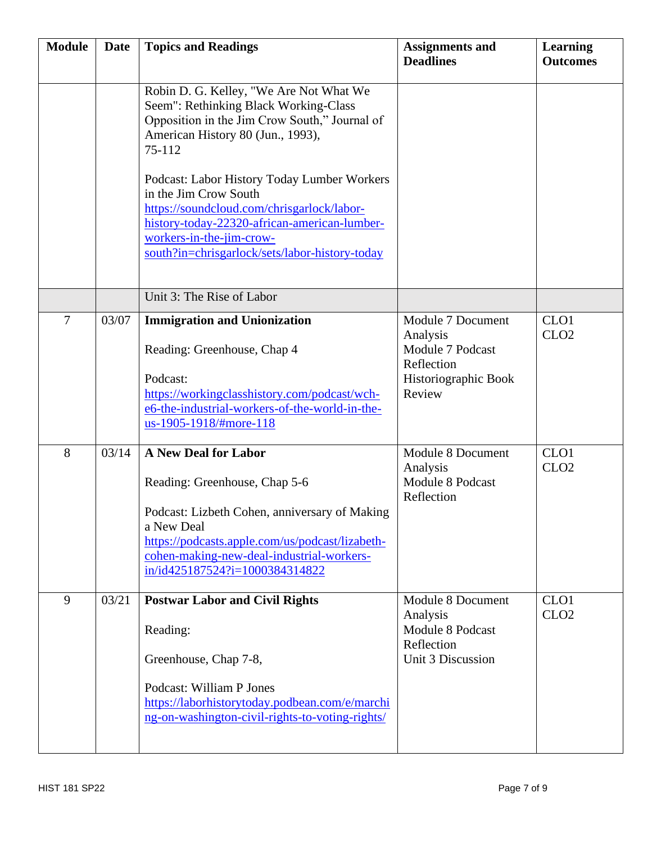| <b>Module</b>  | Date  | <b>Topics and Readings</b>                                                                                                                                                                                                                                    | <b>Assignments and</b><br><b>Deadlines</b>                                                        | <b>Learning</b><br><b>Outcomes</b>   |
|----------------|-------|---------------------------------------------------------------------------------------------------------------------------------------------------------------------------------------------------------------------------------------------------------------|---------------------------------------------------------------------------------------------------|--------------------------------------|
|                |       | Robin D. G. Kelley, "We Are Not What We<br>Seem": Rethinking Black Working-Class<br>Opposition in the Jim Crow South," Journal of<br>American History 80 (Jun., 1993),<br>75-112<br>Podcast: Labor History Today Lumber Workers                               |                                                                                                   |                                      |
|                |       | in the Jim Crow South<br>https://soundcloud.com/chrisgarlock/labor-<br>history-today-22320-african-american-lumber-<br>workers-in-the-jim-crow-<br>south?in=chrisgarlock/sets/labor-history-today                                                             |                                                                                                   |                                      |
|                |       | Unit 3: The Rise of Labor                                                                                                                                                                                                                                     |                                                                                                   |                                      |
| $\overline{7}$ | 03/07 | <b>Immigration and Unionization</b><br>Reading: Greenhouse, Chap 4<br>Podcast:<br>https://workingclasshistory.com/podcast/wch-<br>e6-the-industrial-workers-of-the-world-in-the-<br>us-1905-1918/#more-118                                                    | Module 7 Document<br>Analysis<br>Module 7 Podcast<br>Reflection<br>Historiographic Book<br>Review | CLO <sub>1</sub><br>CLO <sub>2</sub> |
| 8              | 03/14 | <b>A New Deal for Labor</b><br>Reading: Greenhouse, Chap 5-6<br>Podcast: Lizbeth Cohen, anniversary of Making<br>a New Deal<br>https://podcasts.apple.com/us/podcast/lizabeth-<br>cohen-making-new-deal-industrial-workers-<br>in/id425187524?i=1000384314822 | Module 8 Document<br>Analysis<br>Module 8 Podcast<br>Reflection                                   | CLO <sub>1</sub><br>CLO <sub>2</sub> |
| 9              | 03/21 | <b>Postwar Labor and Civil Rights</b><br>Reading:<br>Greenhouse, Chap 7-8,<br>Podcast: William P Jones<br>https://laborhistorytoday.podbean.com/e/marchi<br>ng-on-washington-civil-rights-to-voting-rights/                                                   | Module 8 Document<br>Analysis<br>Module 8 Podcast<br>Reflection<br>Unit 3 Discussion              | CLO <sub>1</sub><br>CLO <sub>2</sub> |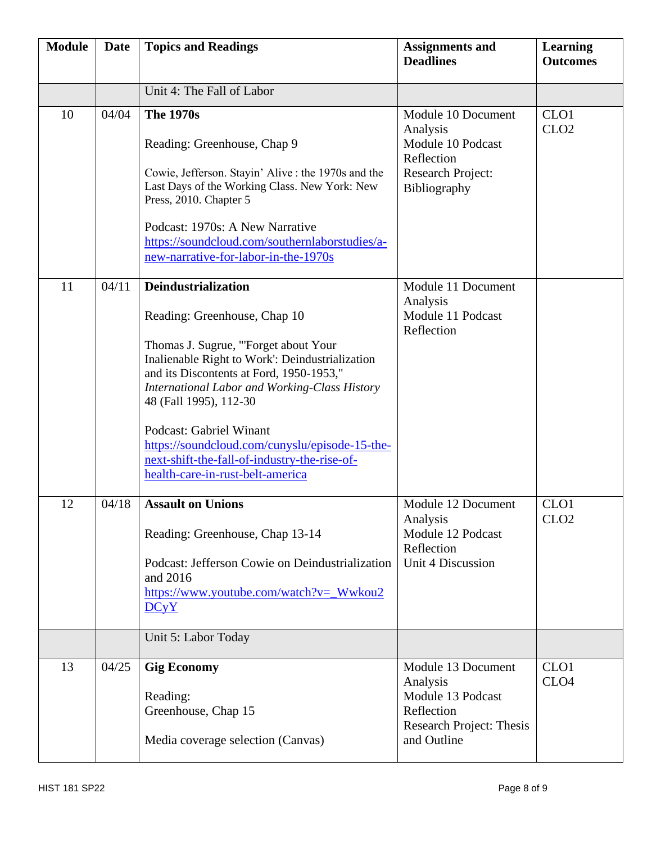| <b>Module</b> | Date  | <b>Topics and Readings</b>                                                                                                                                                                                                                                                                                                                                                                                                                            | <b>Assignments and</b><br><b>Deadlines</b>                                                                          | <b>Learning</b><br><b>Outcomes</b>   |
|---------------|-------|-------------------------------------------------------------------------------------------------------------------------------------------------------------------------------------------------------------------------------------------------------------------------------------------------------------------------------------------------------------------------------------------------------------------------------------------------------|---------------------------------------------------------------------------------------------------------------------|--------------------------------------|
|               |       | Unit 4: The Fall of Labor                                                                                                                                                                                                                                                                                                                                                                                                                             |                                                                                                                     |                                      |
| 10            | 04/04 | <b>The 1970s</b><br>Reading: Greenhouse, Chap 9<br>Cowie, Jefferson. Stayin' Alive : the 1970s and the<br>Last Days of the Working Class. New York: New<br>Press, 2010. Chapter 5<br>Podcast: 1970s: A New Narrative<br>https://soundcloud.com/southernlaborstudies/a-<br>new-narrative-for-labor-in-the-1970s                                                                                                                                        | Module 10 Document<br>Analysis<br>Module 10 Podcast<br>Reflection<br><b>Research Project:</b><br>Bibliography       | CLO <sub>1</sub><br>CLO <sub>2</sub> |
| 11            | 04/11 | <b>Deindustrialization</b><br>Reading: Greenhouse, Chap 10<br>Thomas J. Sugrue, "'Forget about Your<br>Inalienable Right to Work': Deindustrialization<br>and its Discontents at Ford, 1950-1953,"<br>International Labor and Working-Class History<br>48 (Fall 1995), 112-30<br><b>Podcast: Gabriel Winant</b><br>https://soundcloud.com/cunyslu/episode-15-the-<br>next-shift-the-fall-of-industry-the-rise-of-<br>health-care-in-rust-belt-america | Module 11 Document<br>Analysis<br>Module 11 Podcast<br>Reflection                                                   |                                      |
| 12            | 04/18 | <b>Assault on Unions</b><br>Reading: Greenhouse, Chap 13-14<br>Podcast: Jefferson Cowie on Deindustrialization<br>and 2016<br>https://www.youtube.com/watch?v=_Wwkou2<br>DCyY                                                                                                                                                                                                                                                                         | Module 12 Document<br>Analysis<br>Module 12 Podcast<br>Reflection<br>Unit 4 Discussion                              | CLO1<br>CLO <sub>2</sub>             |
|               |       | Unit 5: Labor Today                                                                                                                                                                                                                                                                                                                                                                                                                                   |                                                                                                                     |                                      |
| 13            | 04/25 | <b>Gig Economy</b><br>Reading:<br>Greenhouse, Chap 15<br>Media coverage selection (Canvas)                                                                                                                                                                                                                                                                                                                                                            | Module 13 Document<br>Analysis<br>Module 13 Podcast<br>Reflection<br><b>Research Project: Thesis</b><br>and Outline | CLO <sub>1</sub><br>CLO <sub>4</sub> |